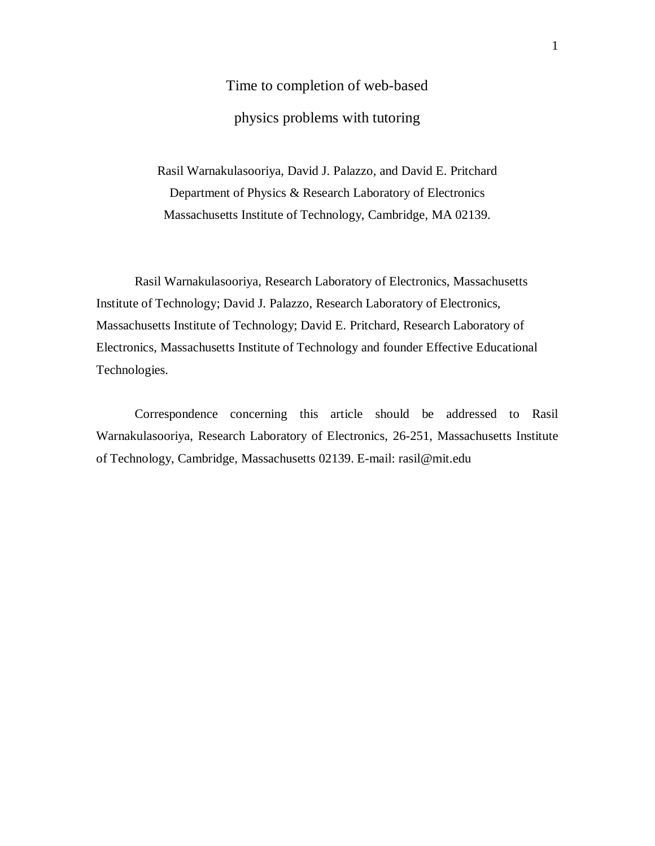# Time to completion of web-based physics problems with tutoring

Rasil Warnakulasooriya, David J. Palazzo, and David E. Pritchard Department of Physics & Research Laboratory of Electronics Massachusetts Institute of Technology, Cambridge, MA 02139.

 Rasil Warnakulasooriya, Research Laboratory of Electronics, Massachusetts Institute of Technology; David J. Palazzo, Research Laboratory of Electronics, Massachusetts Institute of Technology; David E. Pritchard, Research Laboratory of Electronics, Massachusetts Institute of Technology and founder Effective Educational Technologies.

 Correspondence concerning this article should be addressed to Rasil Warnakulasooriya, Research Laboratory of Electronics, 26-251, Massachusetts Institute of Technology, Cambridge, Massachusetts 02139. E-mail: rasil@mit.edu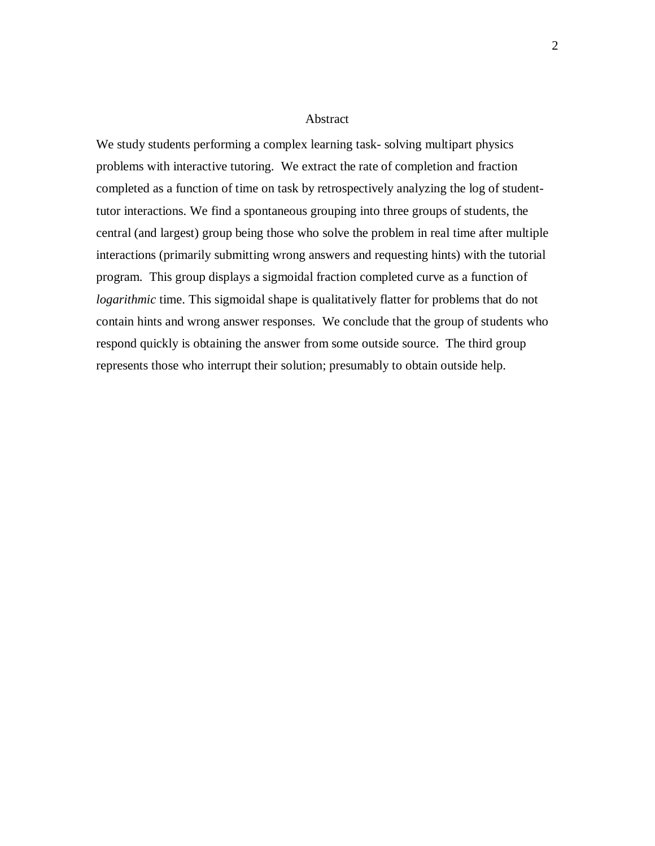#### Abstract

We study students performing a complex learning task- solving multipart physics problems with interactive tutoring. We extract the rate of completion and fraction completed as a function of time on task by retrospectively analyzing the log of studenttutor interactions. We find a spontaneous grouping into three groups of students, the central (and largest) group being those who solve the problem in real time after multiple interactions (primarily submitting wrong answers and requesting hints) with the tutorial program. This group displays a sigmoidal fraction completed curve as a function of *logarithmic* time. This sigmoidal shape is qualitatively flatter for problems that do not contain hints and wrong answer responses. We conclude that the group of students who respond quickly is obtaining the answer from some outside source. The third group represents those who interrupt their solution; presumably to obtain outside help.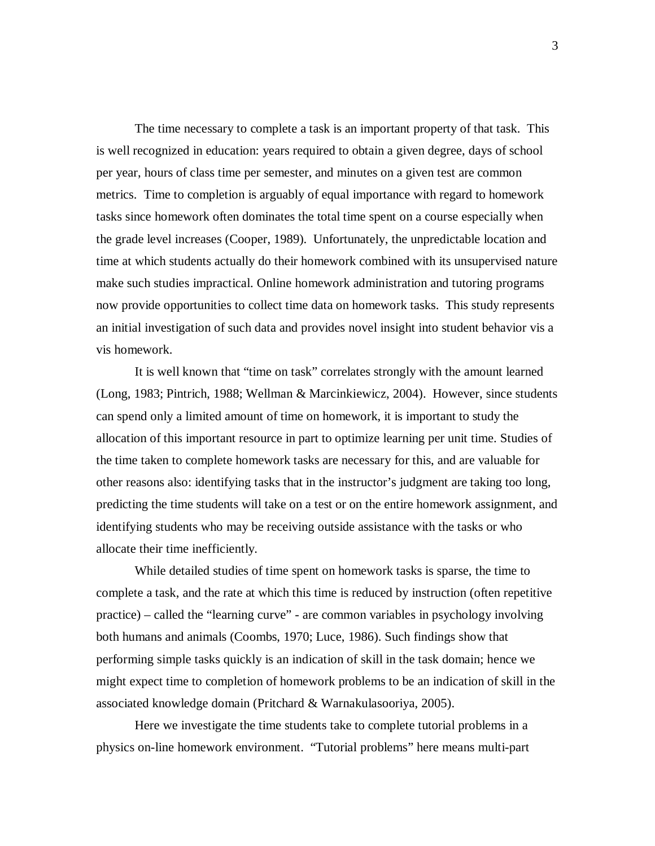The time necessary to complete a task is an important property of that task. This is well recognized in education: years required to obtain a given degree, days of school per year, hours of class time per semester, and minutes on a given test are common metrics. Time to completion is arguably of equal importance with regard to homework tasks since homework often dominates the total time spent on a course especially when the grade level increases (Cooper, 1989). Unfortunately, the unpredictable location and time at which students actually do their homework combined with its unsupervised nature make such studies impractical. Online homework administration and tutoring programs now provide opportunities to collect time data on homework tasks. This study represents an initial investigation of such data and provides novel insight into student behavior vis a vis homework.

It is well known that "time on task" correlates strongly with the amount learned (Long, 1983; Pintrich, 1988; Wellman & Marcinkiewicz, 2004). However, since students can spend only a limited amount of time on homework, it is important to study the allocation of this important resource in part to optimize learning per unit time. Studies of the time taken to complete homework tasks are necessary for this, and are valuable for other reasons also: identifying tasks that in the instructor's judgment are taking too long, predicting the time students will take on a test or on the entire homework assignment, and identifying students who may be receiving outside assistance with the tasks or who allocate their time inefficiently.

While detailed studies of time spent on homework tasks is sparse, the time to complete a task, and the rate at which this time is reduced by instruction (often repetitive practice) – called the "learning curve" - are common variables in psychology involving both humans and animals (Coombs, 1970; Luce, 1986). Such findings show that performing simple tasks quickly is an indication of skill in the task domain; hence we might expect time to completion of homework problems to be an indication of skill in the associated knowledge domain (Pritchard & Warnakulasooriya, 2005).

Here we investigate the time students take to complete tutorial problems in a physics on-line homework environment. "Tutorial problems" here means multi-part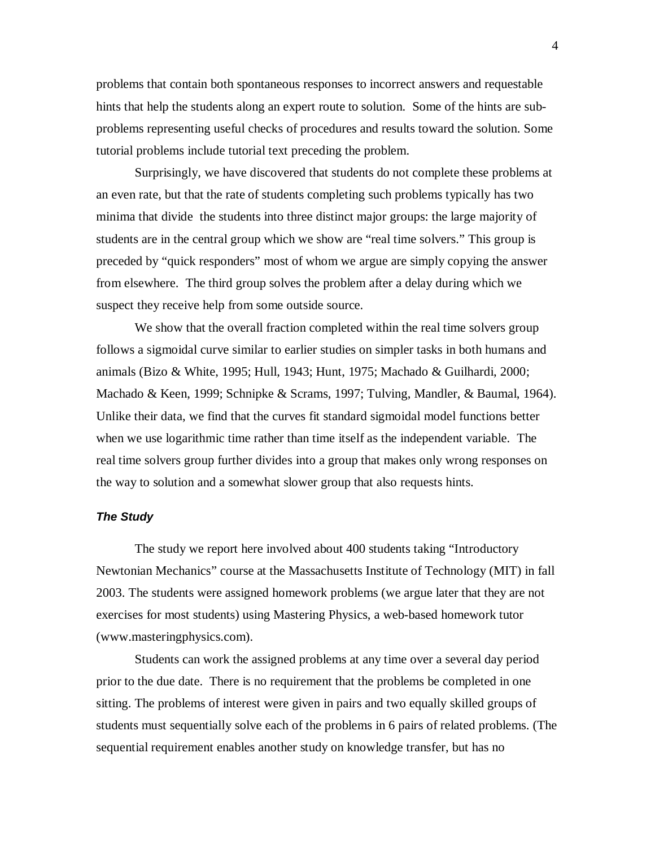problems that contain both spontaneous responses to incorrect answers and requestable hints that help the students along an expert route to solution. Some of the hints are subproblems representing useful checks of procedures and results toward the solution. Some tutorial problems include tutorial text preceding the problem.

Surprisingly, we have discovered that students do not complete these problems at an even rate, but that the rate of students completing such problems typically has two minima that divide the students into three distinct major groups: the large majority of students are in the central group which we show are "real time solvers." This group is preceded by "quick responders" most of whom we argue are simply copying the answer from elsewhere. The third group solves the problem after a delay during which we suspect they receive help from some outside source.

We show that the overall fraction completed within the real time solvers group follows a sigmoidal curve similar to earlier studies on simpler tasks in both humans and animals (Bizo & White, 1995; Hull, 1943; Hunt, 1975; Machado & Guilhardi, 2000; Machado & Keen, 1999; Schnipke & Scrams, 1997; Tulving, Mandler, & Baumal, 1964). Unlike their data, we find that the curves fit standard sigmoidal model functions better when we use logarithmic time rather than time itself as the independent variable. The real time solvers group further divides into a group that makes only wrong responses on the way to solution and a somewhat slower group that also requests hints.

## **The Study**

The study we report here involved about 400 students taking "Introductory Newtonian Mechanics" course at the Massachusetts Institute of Technology (MIT) in fall 2003. The students were assigned homework problems (we argue later that they are not exercises for most students) using Mastering Physics, a web-based homework tutor (www.masteringphysics.com).

Students can work the assigned problems at any time over a several day period prior to the due date. There is no requirement that the problems be completed in one sitting. The problems of interest were given in pairs and two equally skilled groups of students must sequentially solve each of the problems in 6 pairs of related problems. (The sequential requirement enables another study on knowledge transfer, but has no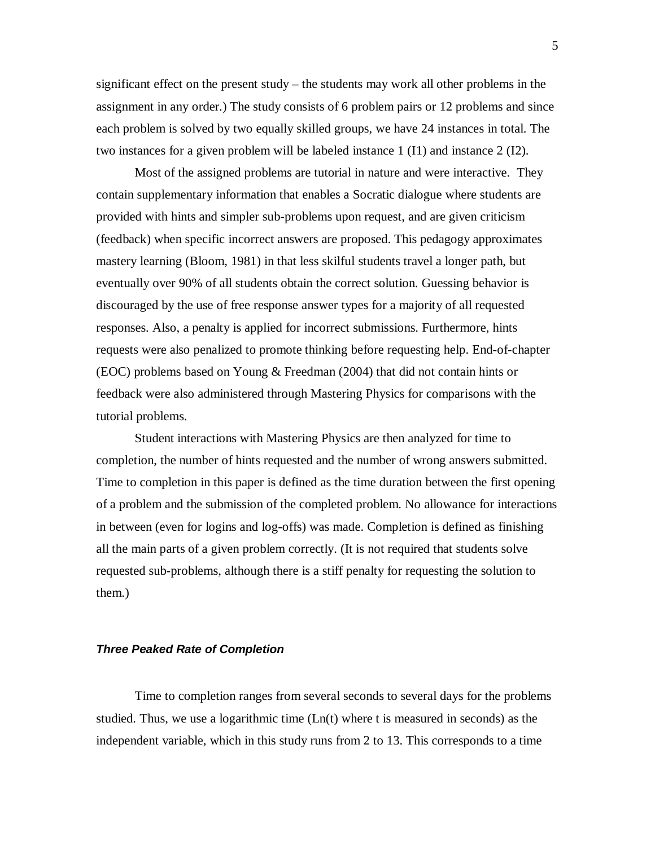significant effect on the present study – the students may work all other problems in the assignment in any order.) The study consists of 6 problem pairs or 12 problems and since each problem is solved by two equally skilled groups, we have 24 instances in total. The two instances for a given problem will be labeled instance 1 (I1) and instance 2 (I2).

Most of the assigned problems are tutorial in nature and were interactive. They contain supplementary information that enables a Socratic dialogue where students are provided with hints and simpler sub-problems upon request, and are given criticism (feedback) when specific incorrect answers are proposed. This pedagogy approximates mastery learning (Bloom, 1981) in that less skilful students travel a longer path, but eventually over 90% of all students obtain the correct solution. Guessing behavior is discouraged by the use of free response answer types for a majority of all requested responses. Also, a penalty is applied for incorrect submissions. Furthermore, hints requests were also penalized to promote thinking before requesting help. End-of-chapter (EOC) problems based on Young & Freedman (2004) that did not contain hints or feedback were also administered through Mastering Physics for comparisons with the tutorial problems.

Student interactions with Mastering Physics are then analyzed for time to completion, the number of hints requested and the number of wrong answers submitted. Time to completion in this paper is defined as the time duration between the first opening of a problem and the submission of the completed problem. No allowance for interactions in between (even for logins and log-offs) was made. Completion is defined as finishing all the main parts of a given problem correctly. (It is not required that students solve requested sub-problems, although there is a stiff penalty for requesting the solution to them.)

## **Three Peaked Rate of Completion**

Time to completion ranges from several seconds to several days for the problems studied. Thus, we use a logarithmic time  $(Ln(t))$  where t is measured in seconds) as the independent variable, which in this study runs from 2 to 13. This corresponds to a time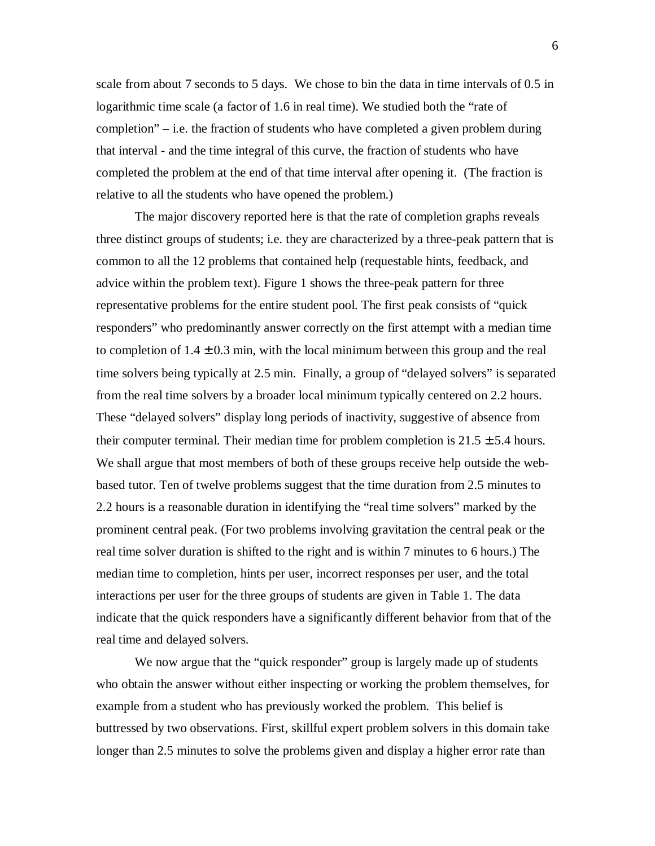scale from about 7 seconds to 5 days. We chose to bin the data in time intervals of 0.5 in logarithmic time scale (a factor of 1.6 in real time). We studied both the "rate of completion" – i.e. the fraction of students who have completed a given problem during that interval - and the time integral of this curve, the fraction of students who have completed the problem at the end of that time interval after opening it. (The fraction is relative to all the students who have opened the problem.)

The major discovery reported here is that the rate of completion graphs reveals three distinct groups of students; i.e. they are characterized by a three-peak pattern that is common to all the 12 problems that contained help (requestable hints, feedback, and advice within the problem text). Figure 1 shows the three-peak pattern for three representative problems for the entire student pool. The first peak consists of "quick responders" who predominantly answer correctly on the first attempt with a median time to completion of  $1.4 \pm 0.3$  min, with the local minimum between this group and the real time solvers being typically at 2.5 min. Finally, a group of "delayed solvers" is separated from the real time solvers by a broader local minimum typically centered on 2.2 hours. These "delayed solvers" display long periods of inactivity, suggestive of absence from their computer terminal. Their median time for problem completion is  $21.5 \pm 5.4$  hours. We shall argue that most members of both of these groups receive help outside the webbased tutor. Ten of twelve problems suggest that the time duration from 2.5 minutes to 2.2 hours is a reasonable duration in identifying the "real time solvers" marked by the prominent central peak. (For two problems involving gravitation the central peak or the real time solver duration is shifted to the right and is within 7 minutes to 6 hours.) The median time to completion, hints per user, incorrect responses per user, and the total interactions per user for the three groups of students are given in Table 1. The data indicate that the quick responders have a significantly different behavior from that of the real time and delayed solvers.

We now argue that the "quick responder" group is largely made up of students who obtain the answer without either inspecting or working the problem themselves, for example from a student who has previously worked the problem. This belief is buttressed by two observations. First, skillful expert problem solvers in this domain take longer than 2.5 minutes to solve the problems given and display a higher error rate than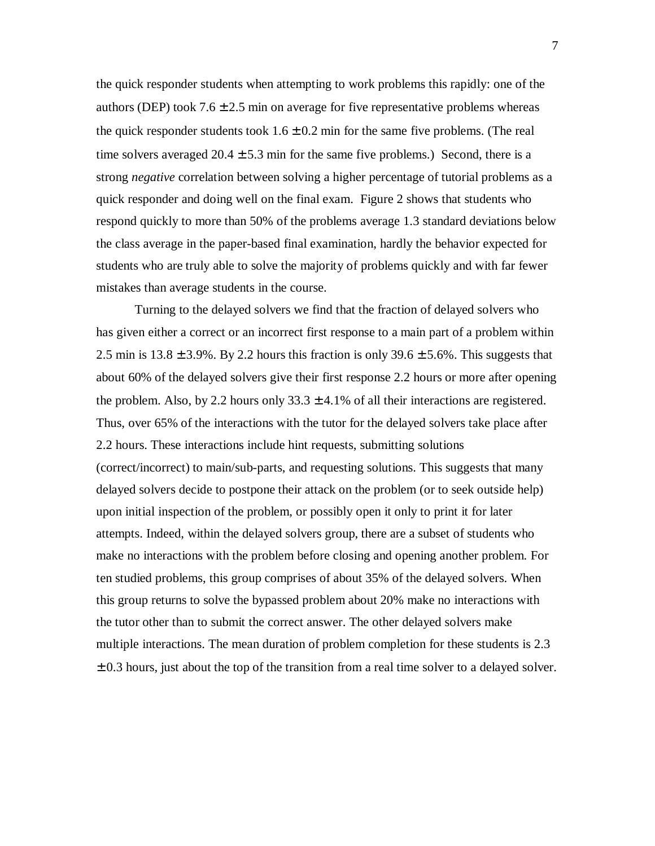the quick responder students when attempting to work problems this rapidly: one of the authors (DEP) took  $7.6 \pm 2.5$  min on average for five representative problems whereas the quick responder students took  $1.6 \pm 0.2$  min for the same five problems. (The real time solvers averaged  $20.4 \pm 5.3$  min for the same five problems.) Second, there is a strong *negative* correlation between solving a higher percentage of tutorial problems as a quick responder and doing well on the final exam. Figure 2 shows that students who respond quickly to more than 50% of the problems average 1.3 standard deviations below the class average in the paper-based final examination, hardly the behavior expected for students who are truly able to solve the majority of problems quickly and with far fewer mistakes than average students in the course.

Turning to the delayed solvers we find that the fraction of delayed solvers who has given either a correct or an incorrect first response to a main part of a problem within 2.5 min is  $13.8 \pm 3.9$ %. By 2.2 hours this fraction is only  $39.6 \pm 5.6$ %. This suggests that about 60% of the delayed solvers give their first response 2.2 hours or more after opening the problem. Also, by 2.2 hours only  $33.3 \pm 4.1\%$  of all their interactions are registered. Thus, over 65% of the interactions with the tutor for the delayed solvers take place after 2.2 hours. These interactions include hint requests, submitting solutions (correct/incorrect) to main/sub-parts, and requesting solutions. This suggests that many delayed solvers decide to postpone their attack on the problem (or to seek outside help) upon initial inspection of the problem, or possibly open it only to print it for later attempts. Indeed, within the delayed solvers group, there are a subset of students who make no interactions with the problem before closing and opening another problem. For ten studied problems, this group comprises of about 35% of the delayed solvers. When this group returns to solve the bypassed problem about 20% make no interactions with the tutor other than to submit the correct answer. The other delayed solvers make multiple interactions. The mean duration of problem completion for these students is 2.3  $\pm$  0.3 hours, just about the top of the transition from a real time solver to a delayed solver.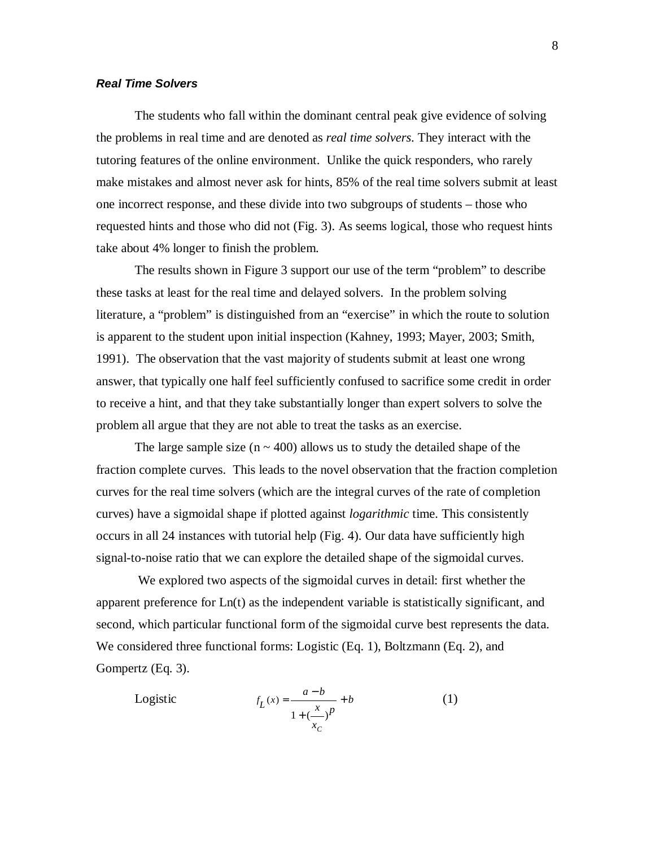## **Real Time Solvers**

The students who fall within the dominant central peak give evidence of solving the problems in real time and are denoted as *real time solvers*. They interact with the tutoring features of the online environment. Unlike the quick responders, who rarely make mistakes and almost never ask for hints, 85% of the real time solvers submit at least one incorrect response, and these divide into two subgroups of students – those who requested hints and those who did not (Fig. 3). As seems logical, those who request hints take about 4% longer to finish the problem.

The results shown in Figure 3 support our use of the term "problem" to describe these tasks at least for the real time and delayed solvers. In the problem solving literature, a "problem" is distinguished from an "exercise" in which the route to solution is apparent to the student upon initial inspection (Kahney, 1993; Mayer, 2003; Smith, 1991). The observation that the vast majority of students submit at least one wrong answer, that typically one half feel sufficiently confused to sacrifice some credit in order to receive a hint, and that they take substantially longer than expert solvers to solve the problem all argue that they are not able to treat the tasks as an exercise.

The large sample size ( $n \sim 400$ ) allows us to study the detailed shape of the fraction complete curves. This leads to the novel observation that the fraction completion curves for the real time solvers (which are the integral curves of the rate of completion curves) have a sigmoidal shape if plotted against *logarithmic* time. This consistently occurs in all 24 instances with tutorial help (Fig. 4). Our data have sufficiently high signal-to-noise ratio that we can explore the detailed shape of the sigmoidal curves.

 We explored two aspects of the sigmoidal curves in detail: first whether the apparent preference for Ln(t) as the independent variable is statistically significant, and second, which particular functional form of the sigmoidal curve best represents the data. We considered three functional forms: Logistic (Eq. 1), Boltzmann (Eq. 2), and Gompertz (Eq. 3).

Logistic 
$$
f_L(x) = \frac{a-b}{1 + \left(\frac{x}{c}\right)^p} + b
$$
 (1)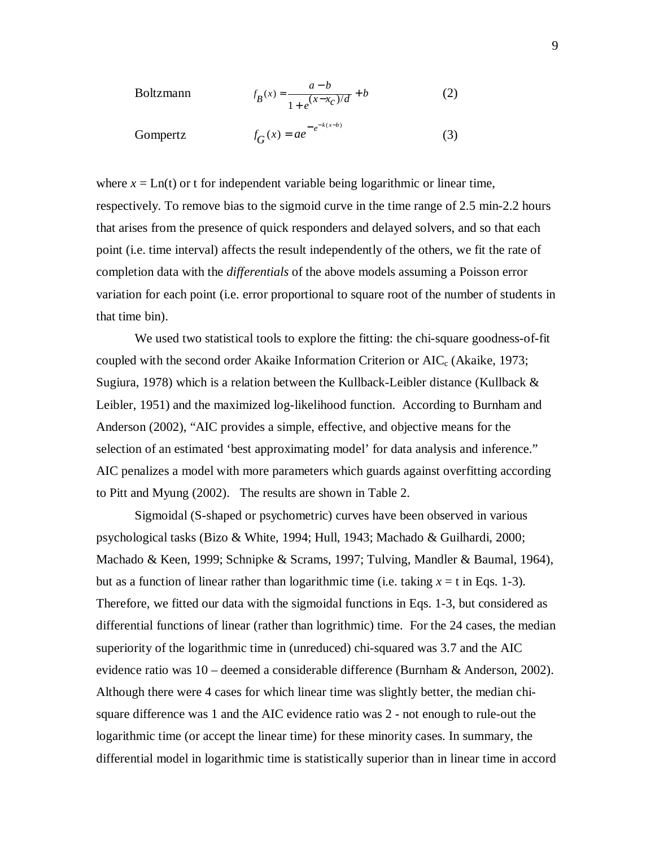Boltzmann 
$$
f_B(x) = \frac{a-b}{1 + e^{(x-x_c)/d}} + b
$$
 (2)

Gompertz 
$$
f_G(x) = ae^{-e^{-k(x-b)}}
$$
 (3)

where  $x = \text{Ln}(t)$  or t for independent variable being logarithmic or linear time, respectively. To remove bias to the sigmoid curve in the time range of 2.5 min-2.2 hours that arises from the presence of quick responders and delayed solvers, and so that each point (i.e. time interval) affects the result independently of the others, we fit the rate of completion data with the *differentials* of the above models assuming a Poisson error variation for each point (i.e. error proportional to square root of the number of students in that time bin).

We used two statistical tools to explore the fitting: the chi-square goodness-of-fit coupled with the second order Akaike Information Criterion or  $AIC_c$  (Akaike, 1973; Sugiura, 1978) which is a relation between the Kullback-Leibler distance (Kullback  $\&$ Leibler, 1951) and the maximized log-likelihood function. According to Burnham and Anderson (2002), "AIC provides a simple, effective, and objective means for the selection of an estimated 'best approximating model' for data analysis and inference." AIC penalizes a model with more parameters which guards against overfitting according to Pitt and Myung (2002). The results are shown in Table 2.

 Sigmoidal (S-shaped or psychometric) curves have been observed in various psychological tasks (Bizo & White, 1994; Hull, 1943; Machado & Guilhardi, 2000; Machado & Keen, 1999; Schnipke & Scrams, 1997; Tulving, Mandler & Baumal, 1964), but as a function of linear rather than logarithmic time (i.e. taking  $x = t$  in Eqs. 1-3). Therefore, we fitted our data with the sigmoidal functions in Eqs. 1-3, but considered as differential functions of linear (rather than logrithmic) time. For the 24 cases, the median superiority of the logarithmic time in (unreduced) chi-squared was 3.7 and the AIC evidence ratio was 10 – deemed a considerable difference (Burnham & Anderson, 2002). Although there were 4 cases for which linear time was slightly better, the median chisquare difference was 1 and the AIC evidence ratio was 2 - not enough to rule-out the logarithmic time (or accept the linear time) for these minority cases. In summary, the differential model in logarithmic time is statistically superior than in linear time in accord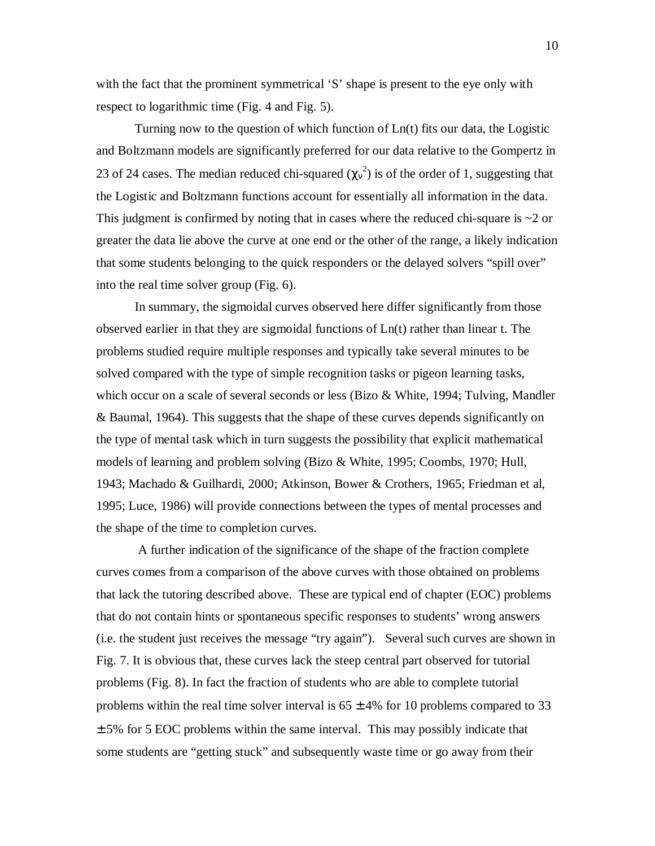with the fact that the prominent symmetrical 'S' shape is present to the eye only with respect to logarithmic time (Fig. 4 and Fig. 5).

Turning now to the question of which function of Ln(t) fits our data, the Logistic and Boltzmann models are significantly preferred for our data relative to the Gompertz in 23 of 24 cases. The median reduced chi-squared  $(\chi_v^2)$  is of the order of 1, suggesting that the Logistic and Boltzmann functions account for essentially all information in the data. This judgment is confirmed by noting that in cases where the reduced chi-square is  $\sim$ 2 or greater the data lie above the curve at one end or the other of the range, a likely indication that some students belonging to the quick responders or the delayed solvers "spill over" into the real time solver group (Fig. 6).

In summary, the sigmoidal curves observed here differ significantly from those observed earlier in that they are sigmoidal functions of Ln(t) rather than linear t. The problems studied require multiple responses and typically take several minutes to be solved compared with the type of simple recognition tasks or pigeon learning tasks, which occur on a scale of several seconds or less (Bizo & White, 1994; Tulving, Mandler & Baumal, 1964). This suggests that the shape of these curves depends significantly on the type of mental task which in turn suggests the possibility that explicit mathematical models of learning and problem solving (Bizo & White, 1995; Coombs, 1970; Hull, 1943; Machado & Guilhardi, 2000; Atkinson, Bower & Crothers, 1965; Friedman et al, 1995; Luce, 1986) will provide connections between the types of mental processes and the shape of the time to completion curves.

 A further indication of the significance of the shape of the fraction complete curves comes from a comparison of the above curves with those obtained on problems that lack the tutoring described above. These are typical end of chapter (EOC) problems that do not contain hints or spontaneous specific responses to students' wrong answers (i.e. the student just receives the message "try again"). Several such curves are shown in Fig. 7. It is obvious that, these curves lack the steep central part observed for tutorial problems (Fig. 8). In fact the fraction of students who are able to complete tutorial problems within the real time solver interval is  $65 \pm 4\%$  for 10 problems compared to 33  $\pm$  5% for 5 EOC problems within the same interval. This may possibly indicate that some students are "getting stuck" and subsequently waste time or go away from their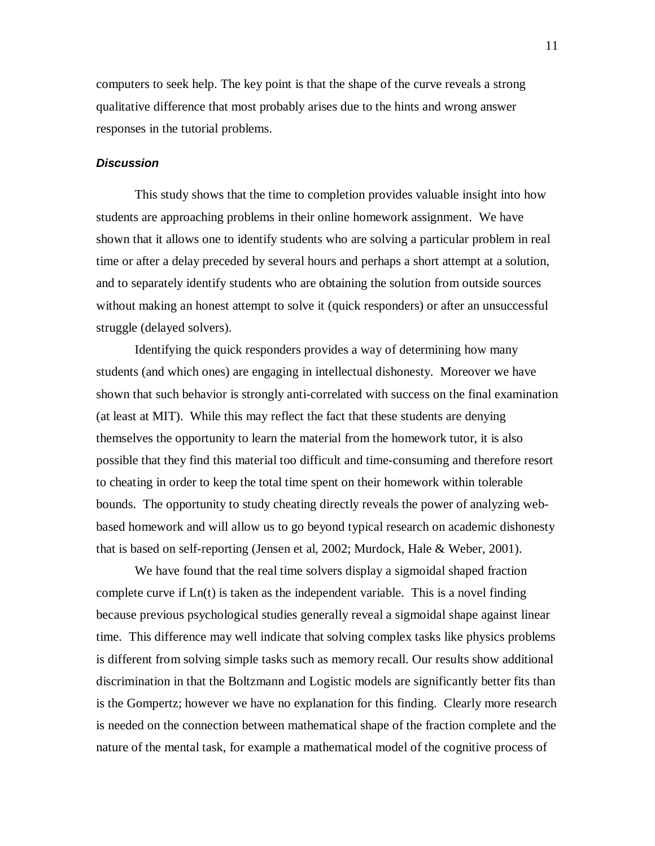computers to seek help. The key point is that the shape of the curve reveals a strong qualitative difference that most probably arises due to the hints and wrong answer responses in the tutorial problems.

## **Discussion**

This study shows that the time to completion provides valuable insight into how students are approaching problems in their online homework assignment. We have shown that it allows one to identify students who are solving a particular problem in real time or after a delay preceded by several hours and perhaps a short attempt at a solution, and to separately identify students who are obtaining the solution from outside sources without making an honest attempt to solve it (quick responders) or after an unsuccessful struggle (delayed solvers).

Identifying the quick responders provides a way of determining how many students (and which ones) are engaging in intellectual dishonesty. Moreover we have shown that such behavior is strongly anti-correlated with success on the final examination (at least at MIT). While this may reflect the fact that these students are denying themselves the opportunity to learn the material from the homework tutor, it is also possible that they find this material too difficult and time-consuming and therefore resort to cheating in order to keep the total time spent on their homework within tolerable bounds. The opportunity to study cheating directly reveals the power of analyzing webbased homework and will allow us to go beyond typical research on academic dishonesty that is based on self-reporting (Jensen et al, 2002; Murdock, Hale & Weber, 2001).

We have found that the real time solvers display a sigmoidal shaped fraction complete curve if Ln(t) is taken as the independent variable. This is a novel finding because previous psychological studies generally reveal a sigmoidal shape against linear time. This difference may well indicate that solving complex tasks like physics problems is different from solving simple tasks such as memory recall. Our results show additional discrimination in that the Boltzmann and Logistic models are significantly better fits than is the Gompertz; however we have no explanation for this finding. Clearly more research is needed on the connection between mathematical shape of the fraction complete and the nature of the mental task, for example a mathematical model of the cognitive process of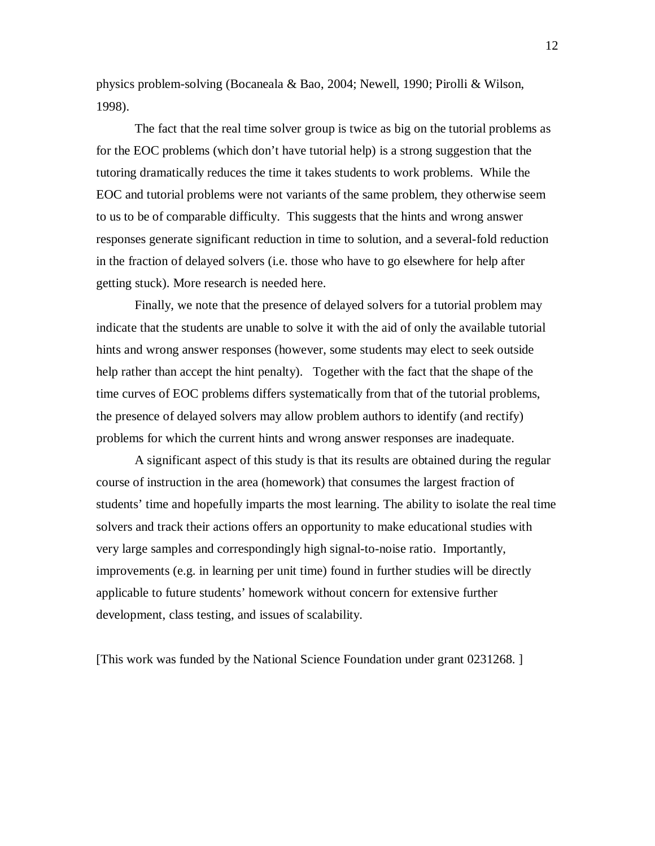physics problem-solving (Bocaneala & Bao, 2004; Newell, 1990; Pirolli & Wilson, 1998).

The fact that the real time solver group is twice as big on the tutorial problems as for the EOC problems (which don't have tutorial help) is a strong suggestion that the tutoring dramatically reduces the time it takes students to work problems. While the EOC and tutorial problems were not variants of the same problem, they otherwise seem to us to be of comparable difficulty. This suggests that the hints and wrong answer responses generate significant reduction in time to solution, and a several-fold reduction in the fraction of delayed solvers (i.e. those who have to go elsewhere for help after getting stuck). More research is needed here.

Finally, we note that the presence of delayed solvers for a tutorial problem may indicate that the students are unable to solve it with the aid of only the available tutorial hints and wrong answer responses (however, some students may elect to seek outside help rather than accept the hint penalty). Together with the fact that the shape of the time curves of EOC problems differs systematically from that of the tutorial problems, the presence of delayed solvers may allow problem authors to identify (and rectify) problems for which the current hints and wrong answer responses are inadequate.

A significant aspect of this study is that its results are obtained during the regular course of instruction in the area (homework) that consumes the largest fraction of students' time and hopefully imparts the most learning. The ability to isolate the real time solvers and track their actions offers an opportunity to make educational studies with very large samples and correspondingly high signal-to-noise ratio. Importantly, improvements (e.g. in learning per unit time) found in further studies will be directly applicable to future students' homework without concern for extensive further development, class testing, and issues of scalability.

[This work was funded by the National Science Foundation under grant 0231268. ]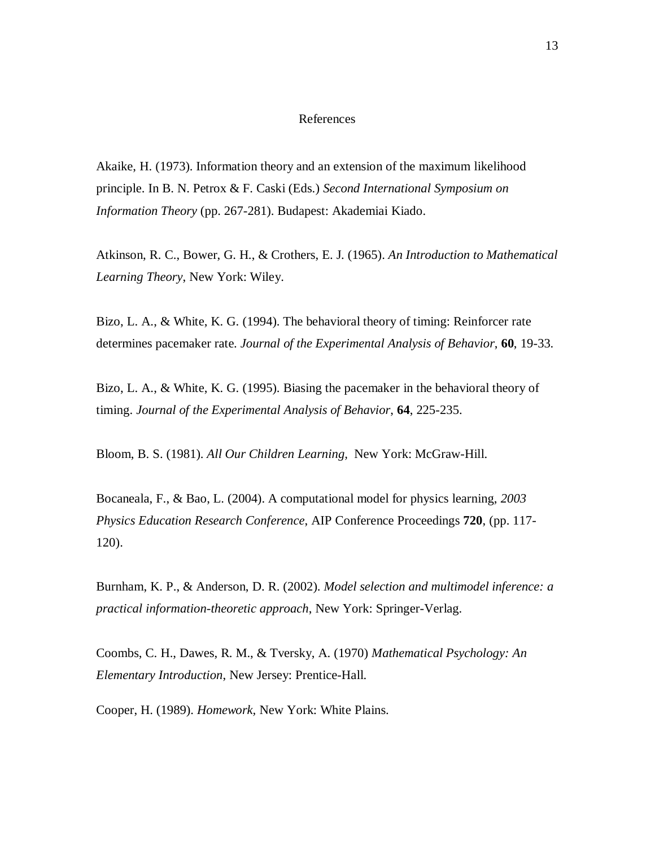#### References

Akaike, H. (1973). Information theory and an extension of the maximum likelihood principle. In B. N. Petrox & F. Caski (Eds.) *Second International Symposium on Information Theory* (pp. 267-281). Budapest: Akademiai Kiado.

Atkinson, R. C., Bower, G. H., & Crothers, E. J. (1965). *An Introduction to Mathematical Learning Theory*, New York: Wiley.

Bizo, L. A., & White, K. G. (1994). The behavioral theory of timing: Reinforcer rate determines pacemaker rate. *Journal of the Experimental Analysis of Behavior*, **60**, 19-33.

Bizo, L. A., & White, K. G. (1995). Biasing the pacemaker in the behavioral theory of timing. *Journal of the Experimental Analysis of Behavior*, **64**, 225-235.

Bloom, B. S. (1981). *All Our Children Learning,* New York: McGraw-Hill.

Bocaneala, F., & Bao, L. (2004). A computational model for physics learning, *2003 Physics Education Research Conference*, AIP Conference Proceedings **720**, (pp. 117- 120).

Burnham, K. P., & Anderson, D. R. (2002). *Model selection and multimodel inference: a practical information-theoretic approach*, New York: Springer-Verlag.

Coombs, C. H., Dawes, R. M., & Tversky, A. (1970) *Mathematical Psychology: An Elementary Introduction*, New Jersey: Prentice-Hall.

Cooper, H. (1989). *Homework,* New York: White Plains.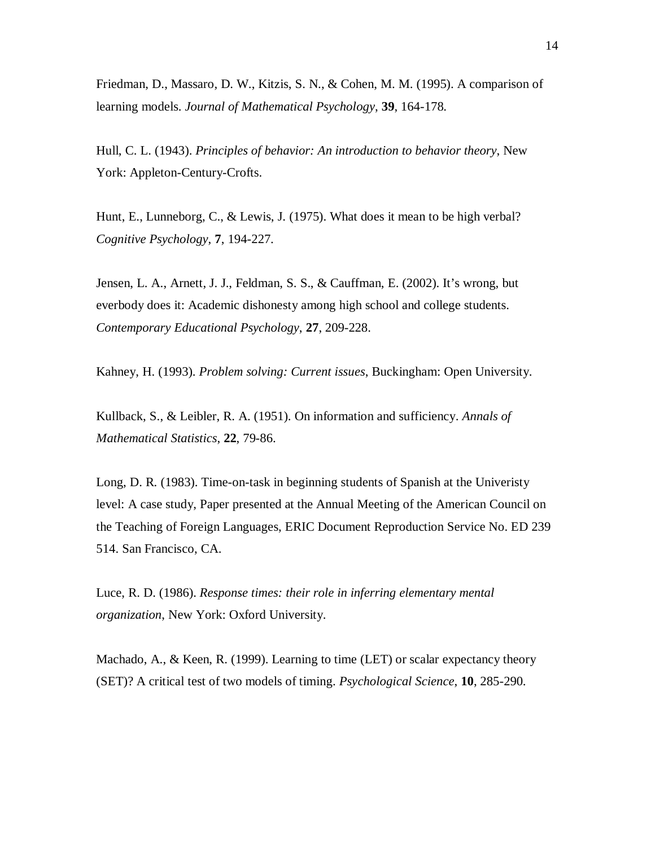Friedman, D., Massaro, D. W., Kitzis, S. N., & Cohen, M. M. (1995). A comparison of learning models. *Journal of Mathematical Psychology*, **39**, 164-178.

Hull, C. L. (1943). *Principles of behavior: An introduction to behavior theory*, New York: Appleton-Century-Crofts.

Hunt, E., Lunneborg, C., & Lewis, J. (1975). What does it mean to be high verbal? *Cognitive Psychology*, **7**, 194-227.

Jensen, L. A., Arnett, J. J., Feldman, S. S., & Cauffman, E. (2002). It's wrong, but everbody does it: Academic dishonesty among high school and college students. *Contemporary Educational Psychology*, **27**, 209-228.

Kahney, H. (1993). *Problem solving: Current issues*, Buckingham: Open University.

Kullback, S., & Leibler, R. A. (1951). On information and sufficiency. *Annals of Mathematical Statistics*, **22**, 79-86.

Long, D. R. (1983). Time-on-task in beginning students of Spanish at the Univeristy level: A case study, Paper presented at the Annual Meeting of the American Council on the Teaching of Foreign Languages, ERIC Document Reproduction Service No. ED 239 514. San Francisco, CA.

Luce, R. D. (1986). *Response times: their role in inferring elementary mental organization*, New York: Oxford University.

Machado, A., & Keen, R. (1999). Learning to time (LET) or scalar expectancy theory (SET)? A critical test of two models of timing. *Psychological Science*, **10**, 285-290.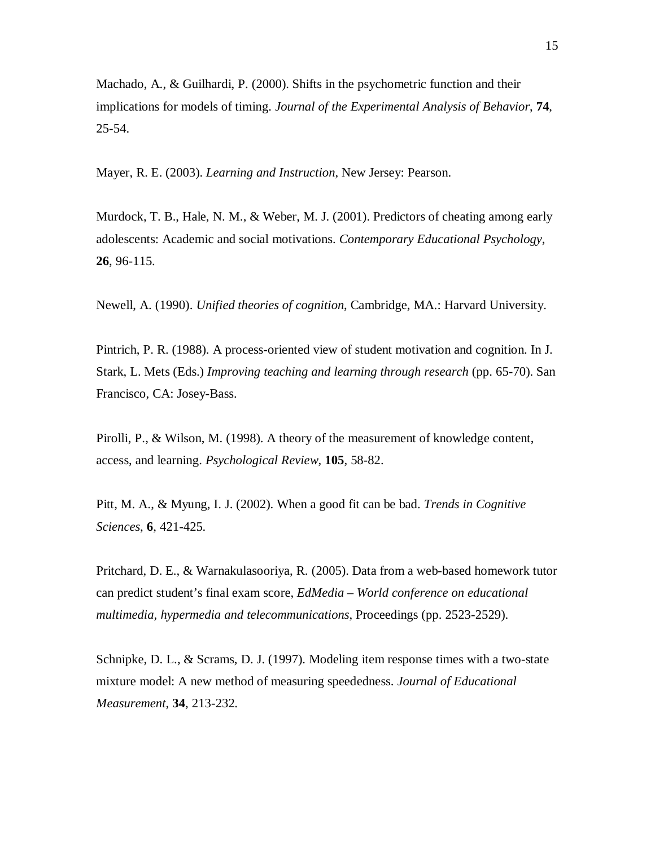Machado, A., & Guilhardi, P. (2000). Shifts in the psychometric function and their implications for models of timing. *Journal of the Experimental Analysis of Behavior*, **74**, 25-54.

Mayer, R. E. (2003). *Learning and Instruction*, New Jersey: Pearson.

Murdock, T. B., Hale, N. M., & Weber, M. J. (2001). Predictors of cheating among early adolescents: Academic and social motivations. *Contemporary Educational Psychology*, **26**, 96-115.

Newell, A. (1990). *Unified theories of cognition*, Cambridge, MA.: Harvard University.

Pintrich, P. R. (1988). A process-oriented view of student motivation and cognition. In J. Stark, L. Mets (Eds.) *Improving teaching and learning through research* (pp. 65-70). San Francisco, CA: Josey-Bass.

Pirolli, P., & Wilson, M. (1998). A theory of the measurement of knowledge content, access, and learning. *Psychological Review*, **105**, 58-82.

Pitt, M. A., & Myung, I. J. (2002). When a good fit can be bad. *Trends in Cognitive Sciences*, **6**, 421-425.

Pritchard, D. E., & Warnakulasooriya, R. (2005). Data from a web-based homework tutor can predict student's final exam score, *EdMedia – World conference on educational multimedia, hypermedia and telecommunications*, Proceedings (pp. 2523-2529).

Schnipke, D. L., & Scrams, D. J. (1997). Modeling item response times with a two-state mixture model: A new method of measuring speededness. *Journal of Educational Measurement*, **34**, 213-232.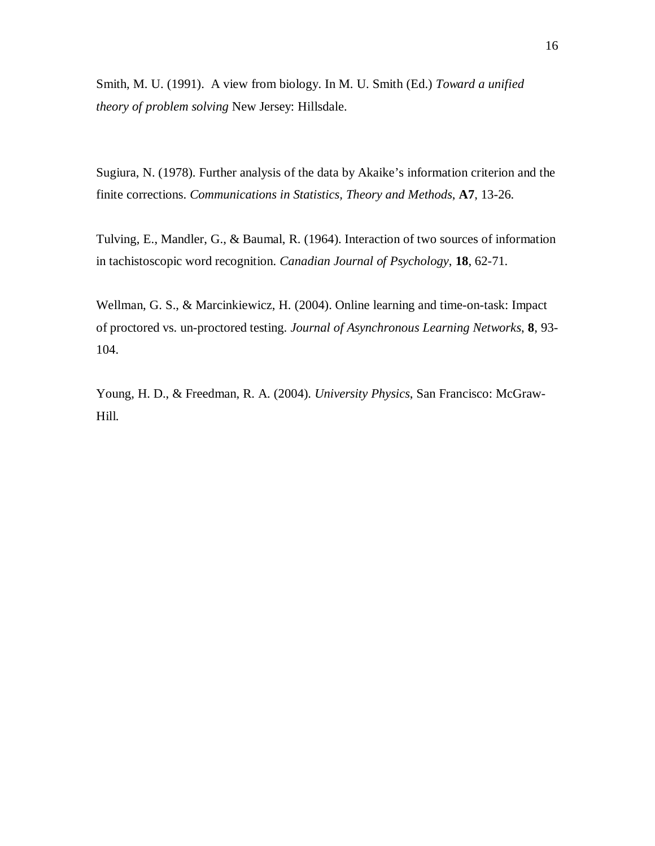Smith, M. U. (1991). A view from biology. In M. U. Smith (Ed.) *Toward a unified theory of problem solving* New Jersey: Hillsdale.

Sugiura, N. (1978). Further analysis of the data by Akaike's information criterion and the finite corrections. *Communications in Statistics, Theory and Methods*, **A7**, 13-26.

Tulving, E., Mandler, G., & Baumal, R. (1964). Interaction of two sources of information in tachistoscopic word recognition. *Canadian Journal of Psychology*, **18**, 62-71.

Wellman, G. S., & Marcinkiewicz, H. (2004). Online learning and time-on-task: Impact of proctored vs. un-proctored testing. *Journal of Asynchronous Learning Networks*, **8**, 93- 104.

Young, H. D., & Freedman, R. A. (2004). *University Physics*, San Francisco: McGraw-Hill.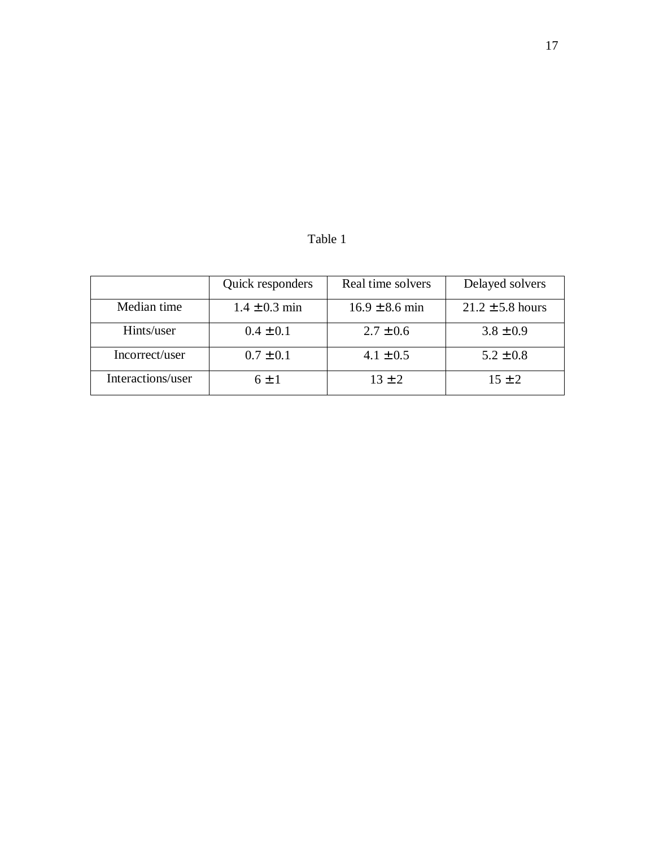|  | anie |  |
|--|------|--|
|--|------|--|

|                   | Quick responders  | Real time solvers  | Delayed solvers      |
|-------------------|-------------------|--------------------|----------------------|
| Median time       | $1.4 \pm 0.3$ min | $16.9 \pm 8.6$ min | $21.2 \pm 5.8$ hours |
| Hints/user        | $0.4 \pm 0.1$     | $2.7 \pm 0.6$      | $3.8 \pm 0.9$        |
| Incorrect/user    | $0.7 \pm 0.1$     | $4.1 \pm 0.5$      | $5.2 \pm 0.8$        |
| Interactions/user | $6 + 1$           | $13 \pm 2$         | $15 \pm 2$           |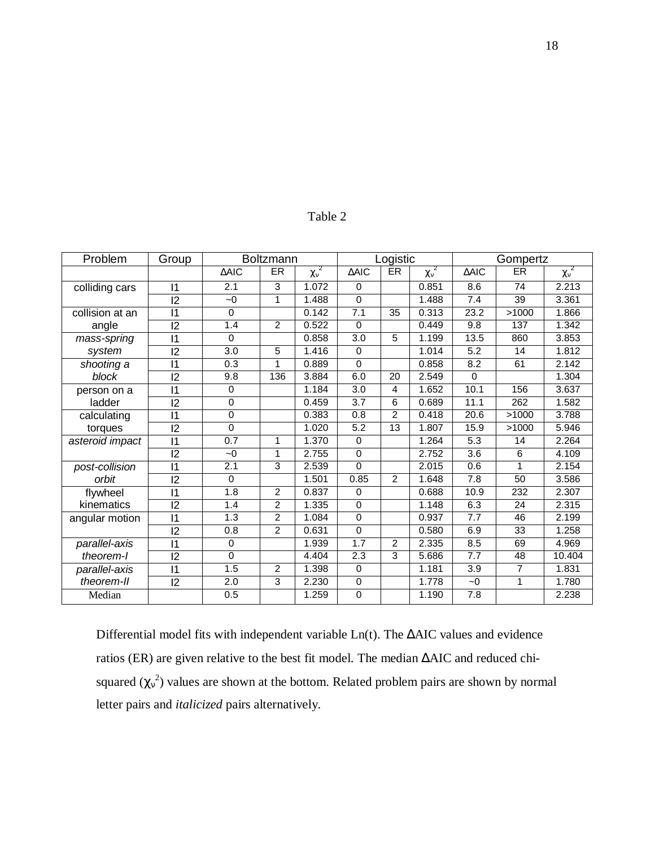| Problem         | Group           | <b>Boltzmann</b> |                |                  | Logistic         |                |                  | Gompertz        |           |                |
|-----------------|-----------------|------------------|----------------|------------------|------------------|----------------|------------------|-----------------|-----------|----------------|
|                 |                 | $\triangle AIC$  | <b>ER</b>      | $\chi_{\rm v}^2$ | $\triangle AIC$  | <b>ER</b>      | $\chi_{\rm v}^2$ | $\triangle AIC$ | <b>ER</b> | $\chi_{v}^{2}$ |
| colliding cars  | $\mathsf{I}$    | 2.1              | 3              | 1.072            | $\Omega$         |                | 0.851            | 8.6             | 74        | 2.213          |
|                 | 12              | $-0$             | 1              | 1.488            | $\Omega$         |                | 1.488            | 7.4             | 39        | 3.361          |
| collision at an | $\mathsf{I}$    | $\Omega$         |                | 0.142            | 7.1              | 35             | 0.313            | 23.2            | >1000     | 1.866          |
| angle           | 12              | 1.4              | $\overline{2}$ | 0.522            | $\Omega$         |                | 0.449            | 9.8             | 137       | 1.342          |
| mass-spring     | $\overline{11}$ | $\Omega$         |                | 0.858            | 3.0              | 5              | 1.199            | 13.5            | 860       | 3.853          |
| system          | 12              | 3.0              | 5              | 1.416            | $\Omega$         |                | 1.014            | 5.2             | 14        | 1.812          |
| shooting a      | $\overline{11}$ | 0.3              | 1              | 0.889            | $\Omega$         |                | 0.858            | 8.2             | 61        | 2.142          |
| block           | 12              | 9.8              | 136            | 3.884            | 6.0              | 20             | 2.549            | $\Omega$        |           | 1.304          |
| person on a     | $\overline{11}$ | $\Omega$         |                | 1.184            | 3.0              | 4              | 1.652            | 10.1            | 156       | 3.637          |
| ladder          | 12              | $\Omega$         |                | 0.459            | $\overline{3.7}$ | 6              | 0.689            | 11.1            | 262       | 1.582          |
| calculating     | $\overline{11}$ | $\Omega$         |                | 0.383            | 0.8              | $\overline{2}$ | 0.418            | 20.6            | >1000     | 3.788          |
| torques         | 12              | $\Omega$         |                | 1.020            | 5.2              | 13             | 1.807            | 15.9            | >1000     | 5.946          |
| asteroid impact | $\overline{11}$ | 0.7              | 1              | 1.370            | $\Omega$         |                | 1.264            | 5.3             | 14        | 2.264          |
|                 | 12              | $-0$             | 1              | 2.755            | $\Omega$         |                | 2.752            | 3.6             | 6         | 4.109          |
| post-collision  | $\overline{11}$ | 2.1              | 3              | 2.539            | $\Omega$         |                | 2.015            | 0.6             | 1         | 2.154          |
| orbit           | 12              | $\Omega$         |                | 1.501            | 0.85             | $\overline{2}$ | 1.648            | 7.8             | 50        | 3.586          |
| flywheel        | $\overline{11}$ | 1.8              | 2              | 0.837            | $\Omega$         |                | 0.688            | 10.9            | 232       | 2.307          |
| kinematics      | 12              | 1.4              | 2              | 1.335            | $\Omega$         |                | 1.148            | 6.3             | 24        | 2.315          |
| angular motion  | $\vert$ 1       | 1.3              | $\overline{2}$ | 1.084            | $\Omega$         |                | 0.937            | 7.7             | 46        | 2.199          |
|                 | 12              | 0.8              | $\overline{2}$ | 0.631            | $\Omega$         |                | 0.580            | 6.9             | 33        | 1.258          |
| parallel-axis   | $\overline{11}$ | $\Omega$         |                | 1.939            | 1.7              | $\overline{c}$ | 2.335            | 8.5             | 69        | 4.969          |
| theorem-l       | 12              | $\Omega$         |                | 4.404            | 2.3              | 3              | 5.686            | 7.7             | 48        | 10.404         |
| parallel-axis   | $\overline{11}$ | 1.5              | $\overline{2}$ | 1.398            | $\Omega$         |                | 1.181            | 3.9             | 7         | 1.831          |
| theorem-II      | 12              | 2.0              | 3              | 2.230            | $\mathbf 0$      |                | 1.778            | $\sim 0$        | 1         | 1.780          |
| Median          |                 | 0.5              |                | 1.259            | $\Omega$         |                | 1.190            | 7.8             |           | 2.238          |

Table 2

Differential model fits with independent variable Ln(t). The ∆AIC values and evidence ratios (ER) are given relative to the best fit model. The median ∆AIC and reduced chisquared  $(\chi_v^2)$  values are shown at the bottom. Related problem pairs are shown by normal letter pairs and *italicized* pairs alternatively.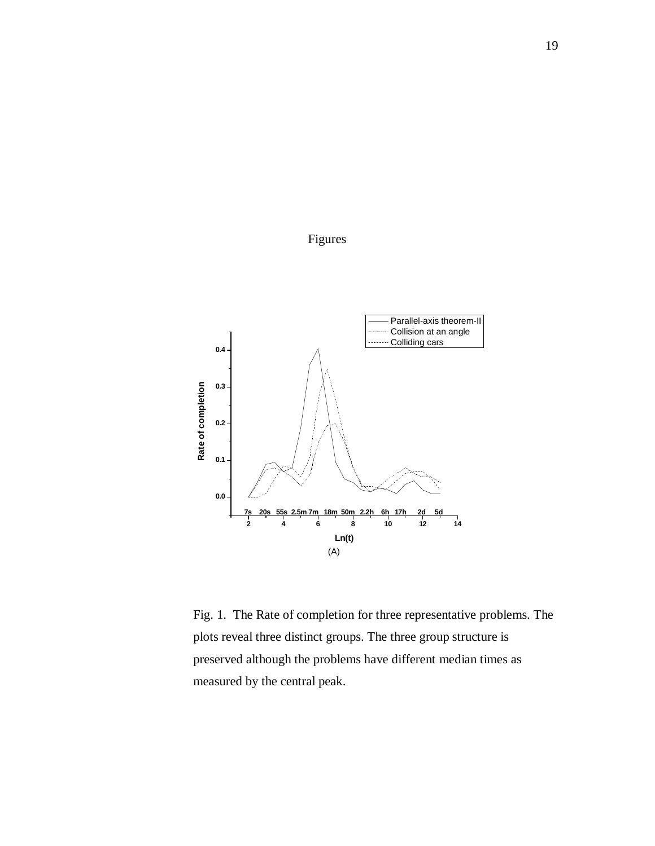

Figures

Fig. 1. The Rate of completion for three representative problems. The plots reveal three distinct groups. The three group structure is preserved although the problems have different median times as measured by the central peak.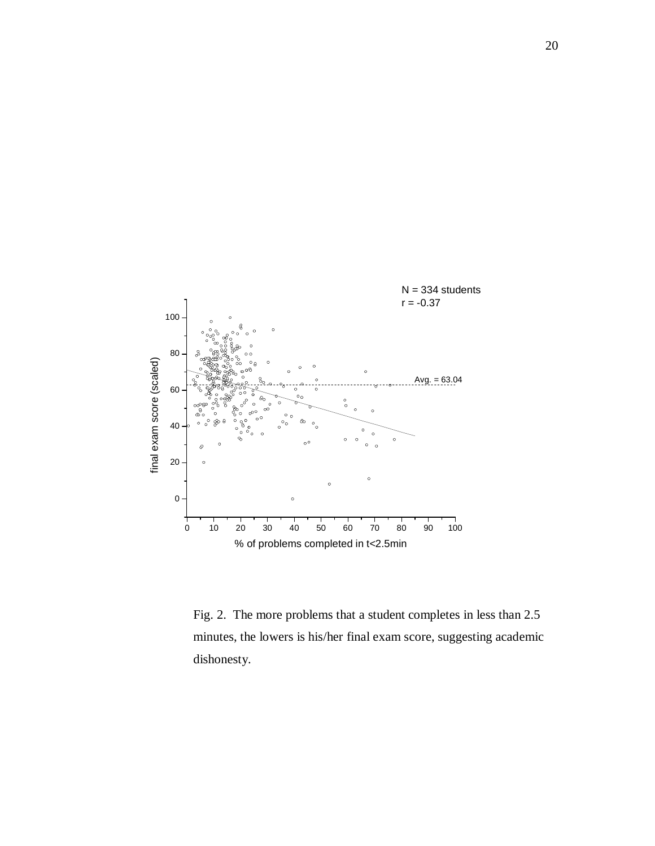

Fig. 2. The more problems that a student completes in less than 2.5 minutes, the lowers is his/her final exam score, suggesting academic dishonesty.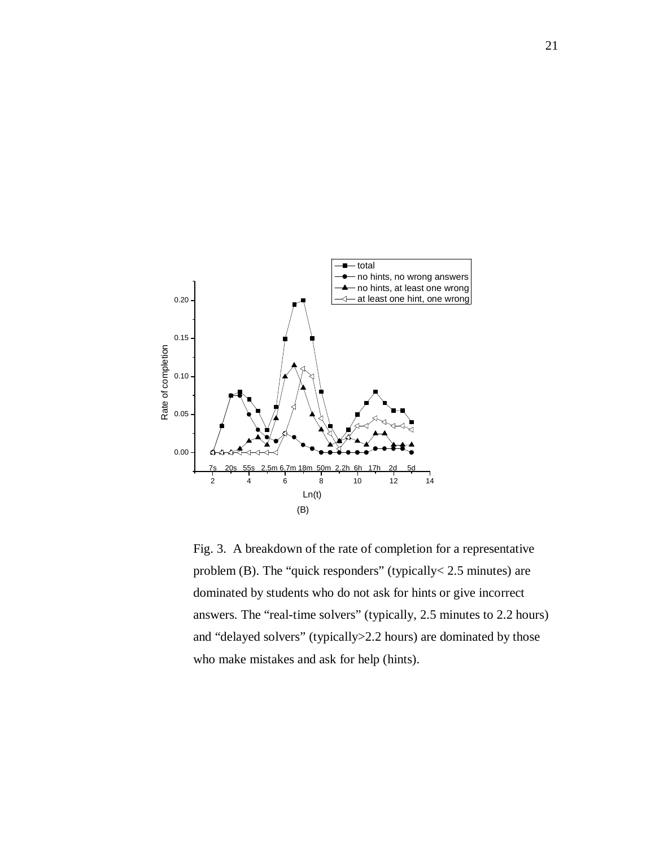

Fig. 3. A breakdown of the rate of completion for a representative problem (B). The "quick responders" (typically< 2.5 minutes) are dominated by students who do not ask for hints or give incorrect answers. The "real-time solvers" (typically, 2.5 minutes to 2.2 hours) and "delayed solvers" (typically>2.2 hours) are dominated by those who make mistakes and ask for help (hints).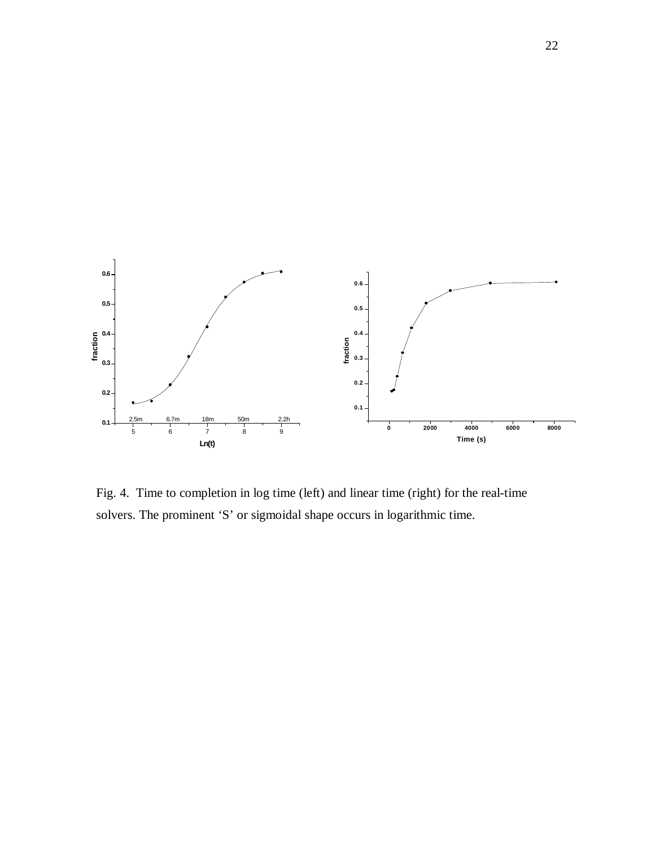

Fig. 4. Time to completion in log time (left) and linear time (right) for the real-time solvers. The prominent 'S' or sigmoidal shape occurs in logarithmic time.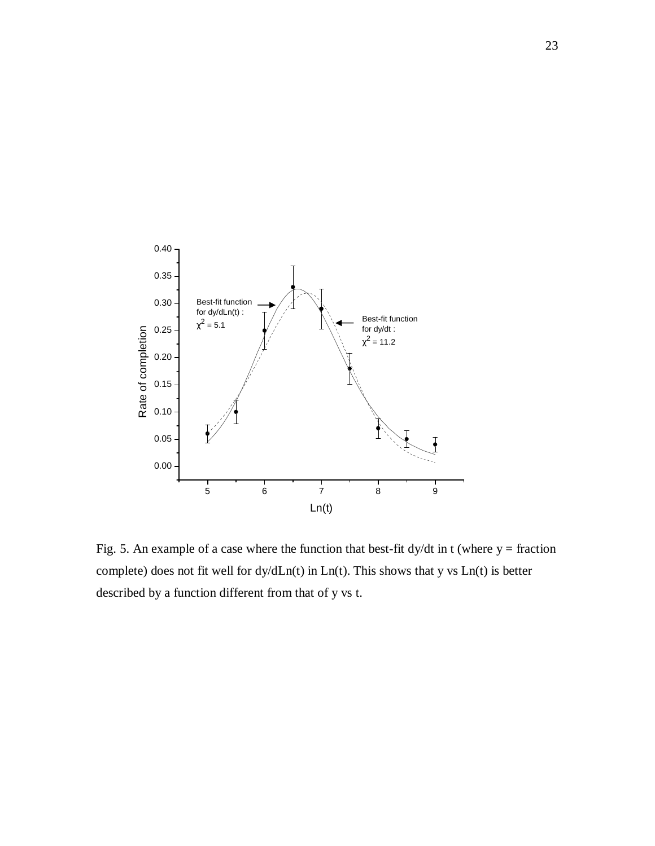

Fig. 5. An example of a case where the function that best-fit dy/dt in t (where  $y =$  fraction complete) does not fit well for dy/dLn(t) in Ln(t). This shows that y vs Ln(t) is better described by a function different from that of y vs t.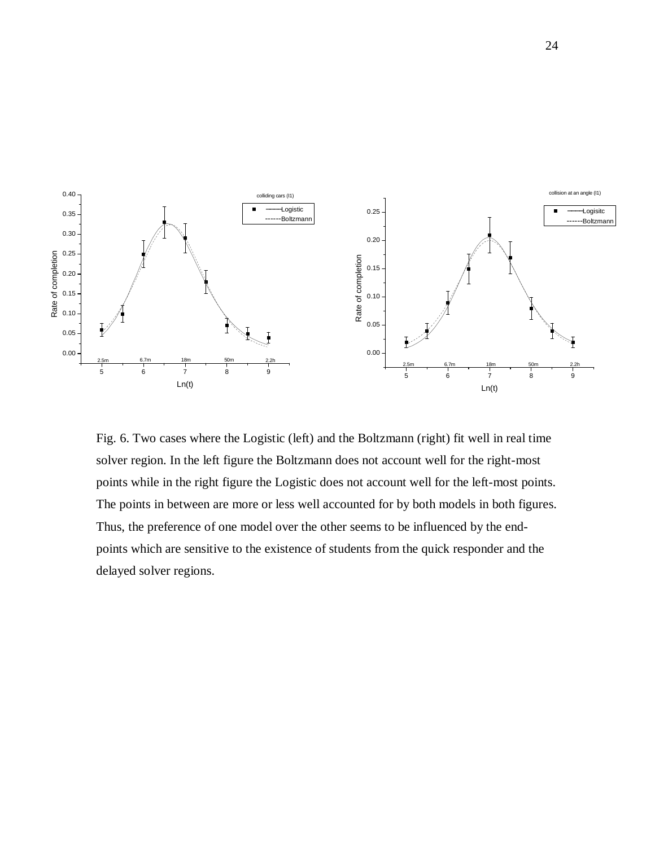

Fig. 6. Two cases where the Logistic (left) and the Boltzmann (right) fit well in real time solver region. In the left figure the Boltzmann does not account well for the right-most points while in the right figure the Logistic does not account well for the left-most points. The points in between are more or less well accounted for by both models in both figures. Thus, the preference of one model over the other seems to be influenced by the endpoints which are sensitive to the existence of students from the quick responder and the delayed solver regions.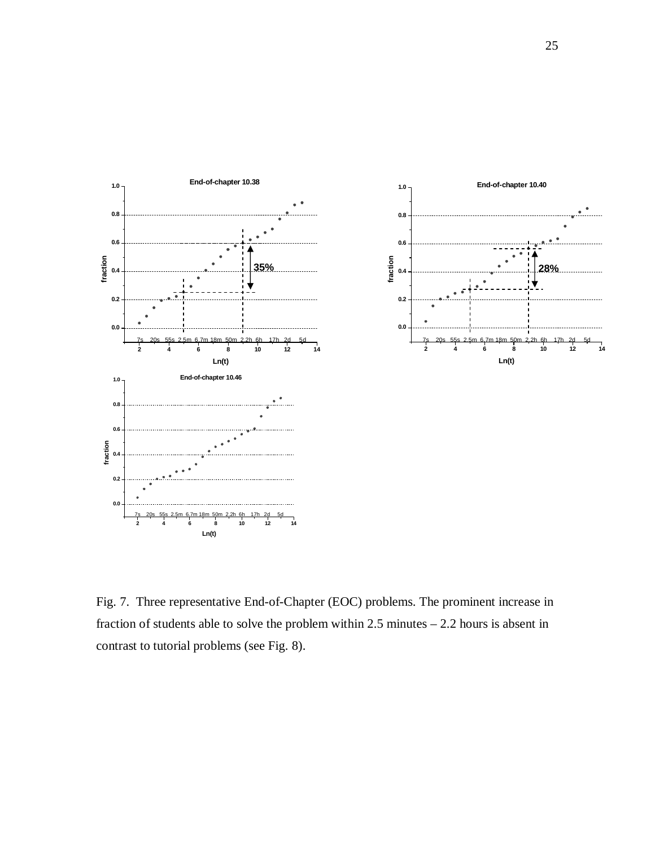

Fig. 7. Three representative End-of-Chapter (EOC) problems. The prominent increase in fraction of students able to solve the problem within 2.5 minutes – 2.2 hours is absent in contrast to tutorial problems (see Fig. 8).